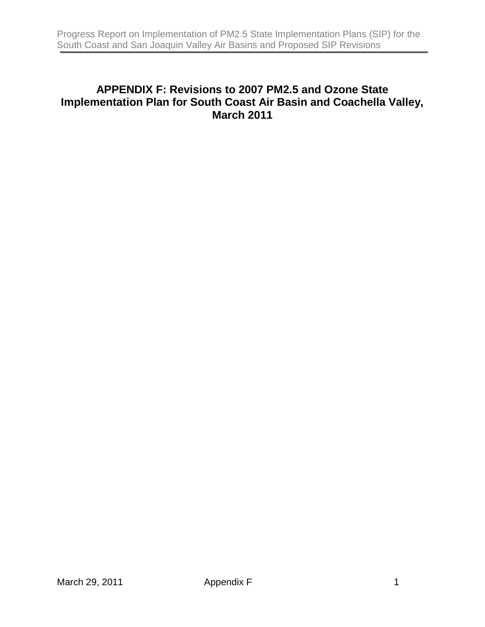### **APPENDIX F: Revisions to 2007 PM2.5 and Ozone State Implementation Plan for South Coast Air Basin and Coachella Valley, March 2011**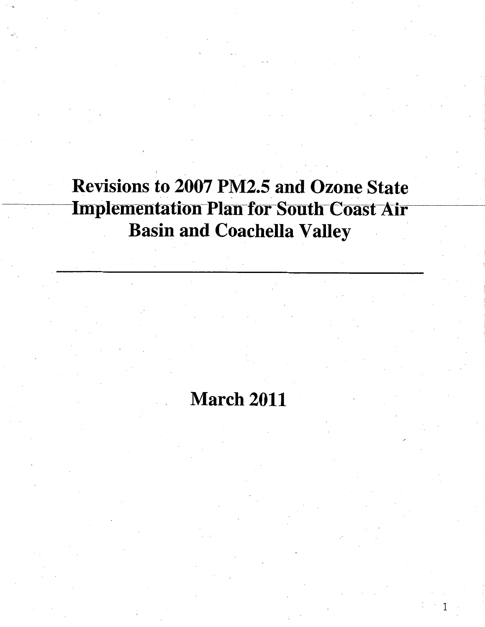## **March 2011**

 $\mathbf{1}$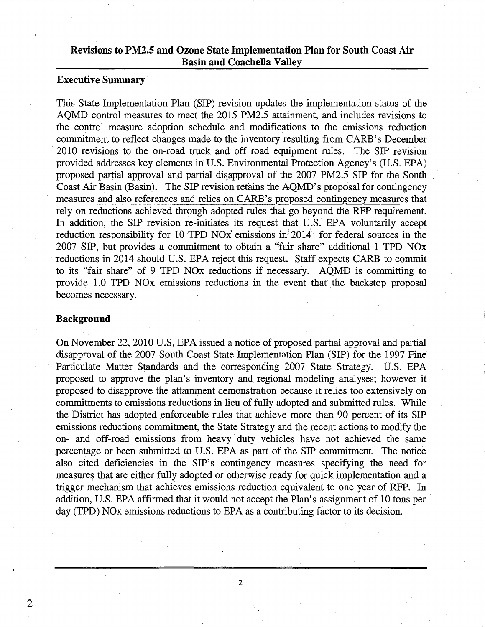#### **Executive Summary**

ngency<br>es that<br>ement. This State Implementation Plan (SIP) revision updates the implementation status of the AQMD control measures to meet the 2015 PM25 attainment, and includes revisions to the control measure adoption schedule and modifications to the emissions reduction commitment to reflect changes made to the inventory resulting from CARB's December · 2010 revisions to the on-road truck and off road equipment rules. The SIP revision provided addresses key elements in U.S. Environmental Protection Agency's (U.S. EPA) proposed partial approval and partial disapproval of the 2007 PM2.5 SIP for the South Coast Air Basin (Basin). The SIP revision retains the AQMD's proposal for contingency measures and also references and relies on CARB's proposed contingency measures that rely on reductions achieved through adopted rules that go beyond the RFP requirement. In addition, the SIP revision re-initiates its request that U.S. EPA voluntarily accept reduction responsibility for 10 TPD NOx emissions in 2014 for federal sources in the 2007 SIP, but provides a commitment to obtain a "fair share" additional 1 TPD NOx reductions in 2014 should U.S. EPA reject this request. Staff expects CARB to commit to its "fair share" of 9 TPD NOx reductions if necessary. AQMD is committing to provide 1.0 TPD NOx emissions reductions in the event that the backstop proposal becomes necessary.

#### **Background** ·

2

On November 22, 2010 U.S, EPA issued a notice of proposed partial approval and partial disapproval of the 2007 South Coast State Implementation Plan (SIP) for the 1997 Fine· Particulate Matter Standards and the corresponding 2007 State Strategy. U.S. EPA proposed to approve the plan's inventory and. regional modeling analyses; however it proposed to disapprove the attainment demonstration because it relies too extensively on commitments to emissions reductions in lieu of fully adopted and submitted rules. While the District has adopted enforceable rules that achieve more than 90 percent of its SIP emissions reductions commitment, the State Strategy and the recent actions to modify the on- and off-road emissions from heavy· duty vehicles have not achieved. the same percentage or been submitted to U.S. EPA as part of the SIP commitment. The notice also cited deficiencies in the SIP's contingency measures specifying the need for measures that are either fully adopted or otherwise ready for quick implementation and a trigger mechanism that achieves emissions reduction equivalent to one year of RFP. In addition, U.S. EPA affirmed that it would not accept the Plan's assignment of 10 tons per day (TPD) NOx emissions reductions to EPA as a contributing factor to its decision.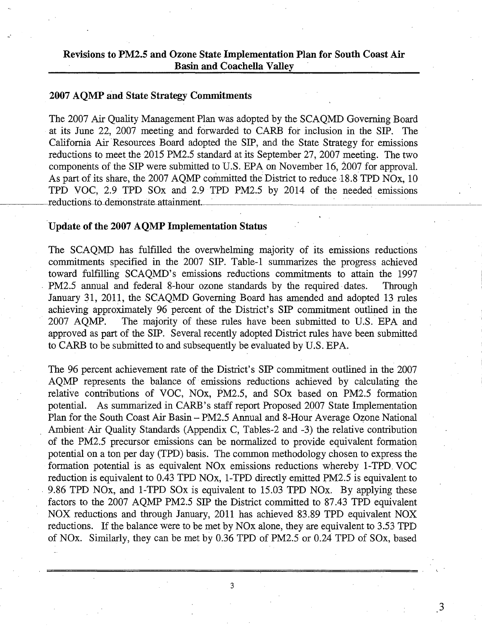#### **2007 AQMP and State Strategy Commitments**

The 2007 Air Quality Management Plan was adopted by the SCAQMD Governing Board at its June 22, 2007 meeting and forwarded to CARB for inclusion in the SIP. The California Air 'Resources Board adopted the SIP, and the State Strategy for emissions reductions to meet the 2015 PM2.5 standard at its September 27, 2007 meeting. The two components of the SIP were submitted to U.S. EPA on November 16, 2007 for approval. As part of its share, the 2007 AQMP committed the District to reduce 18.8 TPD NOx, 10 TPD VOC, 2.9 TPD SOx and 2.9 TPD PM2.5 by 2014 of the needed emissions reductions-to-demonstrate-attainment. ------'----

#### **Update of the 2007 AQMP Implementation Status**

The SCAQMD has fulfilled the overwhelming majority of its emissions reductions commitments specified in the 2007 SIP. Table-1 summarizes the progress achieved toward fulfilling SCAQMD's emissions reductions commitments to attain the 1997 PM2.5 annual and federal 8-hour ozone standards by the required dates. Through January 31, 2011, the SCAQMD Governing Board has amended and adopted 13 rules achieving approximately 96 percent of the District's SIP commitment outlined in the 2007 AQMP. The majority of these rules have been submitted to U.S. EPA and approved as part of the SIP. Several recently adopted District rules have been submitted to CARB to be submitted to and subsequently be evaluated by U.S. EPA.

The 96 percent achievement rate of the District's SIP commitment outlined in the 2007 AQMP represents the balance of emissions reductions achieved by calculating the relative contributions of VOC, NOx, PM2.5, and SOx based on PM2.5 formation potential. As summarized in CARB's staff report Proposed 2007 State Implementation Plan for the South Coast Air Basin-PM2.5 Annual and 8-Hour Average Ozone National Ambient Air Quality Standards (Appendix C, Tables-2 and -3) the relative contribution of the PM2.5 precursor emissions can be normalized to provide equivalent formation potential on a ton per day (TPD) basis. The common methodology chosen to express the formation potential is as equivalent NOx emissions reductions whereby 1-TPD. VOC reduction is equivalent to 0.43 TPD NOx, 1-TPD directly emitted PM2.5 is equivalent to . 9.86 TPD NOx, and 1-TPD SOx is equivalent to 15.03 TPD NOx. By applying these factors to the 2007 AQMP PM2.5 SIP the District committed to 87.43 TPD equivalent NOX reductions and through January, 2011 has achieved 83.89 TPD equivalent NOX reductions. If the balance were to be met by NOx alone, they are equivalent to 3.53 TPD of NOx. Similarly, they can be met by 0.36 TPD of PM2.5 or 0.24 TPD of SOx, based

3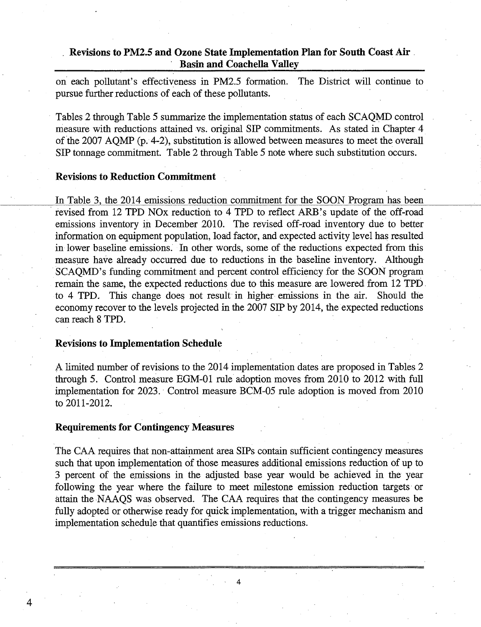on each pollutant's effectiveness in PM2.5 formation. The District will continue to pursue further reductions of each of these pollutants.

Tables 2 through Table 5 summarize the implementation status of each SCAQMD control measure with reductions attained vs. original SIP commitments. As stated in Chapter 4 of the 2007 AQMP (p. 4-2), substitution is allowed between measures to meet the overall SIP tonnage commitment. Table 2 through Table 5 note where such substitution occurs.

#### **Revisions to Reduction Commitment**

In Table 3, the 2014 emissions reduction commitment for the SOON Program has been revised from 12 TPD NOx reduction to 4 TPD to reflect ARB's update of the off-road emissions inventory in December 2010. The revised off-road inventory due to better information on equipment population, load factor, and expected activity level has resulted in lower baseline emissions: In other words, some of the reductions expected from this measure have already occurred due to reductions in the baseline inventory. Although SCAQMD's funding commitment and percent control efficiency for the SOON program remain the same, the expected reductions due to this measure are lowered from 12 TPD. to 4 TPD. This change does not result in higher emissions in the air. Should the economy recover to the levels projected in the 2007 SIP by 2014, the expected reductions can reach 8 TPD.

#### **Revisions to Implementation Schedule**

A limited number of revisions to the 2014 implementation dates are proposed in Tables 2 through 5. Control measure EGM-01 rule adoption moves from 2010 to 2012 with full implementation for 2023. Control measure BCM-05 rule adoption is moved from 2010 to 2011-2012.

#### **Requirements for Contingency Measures**

4

The CAA requires that non-attainment area SIPs contain sufficient contingency measures such that upon implementation of those measures additional emissions reduction of up to 3 percent of the emissions in the adjusted base year would be achieved in the year following the year where the failure to meet milestone emission reduction targets· or attain the NAAQS was observed. The CAA requires that the contingency measmes be fully adopted or otherwise ready for quick implementation, with a trigger mechanism and implementation schedule that quantifies emissions reductions.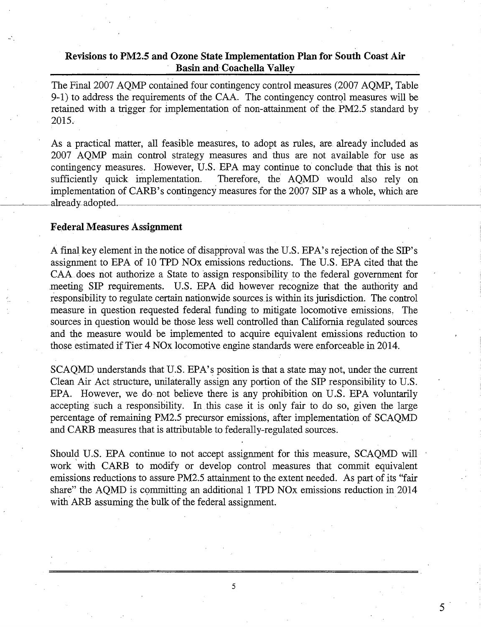The Final 2007 AQMP contained four contingency control measures (2007 AQMP, Table 9-1) to address the requirements of the CAA. The contingency control measures will be retained with a trigger for implementation of non-attainment of the PM2.5 standard by 2015.

As a practical matter, all feasible measures, to adopt as rules, are already included as 2007 AQMP main control strategy measures and thus are not available for use as contingency measures. However, U.S. EPA may continue to conclude that this is not sufficiently quick implementation. Therefore, the' AQMD would also rely on implementation of CARB's contingency measures for the 2007 SIP as a whole, which are already adopted.

#### **Federal Measures Assignment**

-.

A final key element in the notice of disapproval was the U.S. EPA's rejection of the SIP's assignment to EPA of 10 TPD NOx emissions reductions. The U.S. EPA cited that the CAA does not authorize a State to assign responsibility to the federal government for meeting SIP requirements. U.S. EPA did however recognize that the authority and responsibility to regulate certain nationwide sources is within its jurisdiction. The control measure in question requested federal funding to mitigate locomotive emissions, The sources in question would be those less well controlled than California regulated sources and the measure would be implemented to acquire equivalent emissions reduction to those estimated if Tier 4 NOx locomotive engine standards were enforceable in 2014.

SCAQMD understands that U.S. EPA's position is that a state may not, under the current Clean Air Act structure, unilaterally assign any portion of the SIP responsibility to U.S. EPA. However, we do not believe there is any prohibition on U.S. EPA voluntarily accepting such a responsibility. In this case it is only fair to do so, given the large percentage of remaining PM2.5 precursor emissions, after implementation of SCAQMD and CARB measures that is attributable to federally-regulated sources.

Should U.S. EPA continue to not accept assignment for this measure, SCAQMD will work with CARB to modify or develop control measures that commit equivalent emissions reductions to assure PM2.5 attainment to the extent needed. As part of its "fair share" the AQMD is committing an additional 1 TPD NOx emissions reduction in 2014 with ARB assuming the bulk of the federal assignment.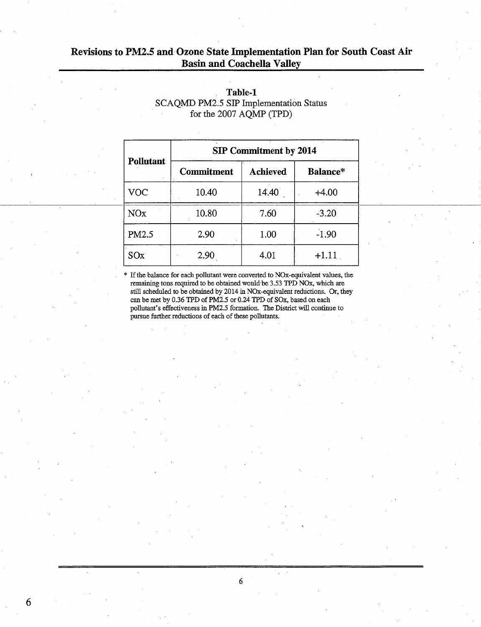|                 | <b>SIP Commitment by 2014</b> |                 |          |  |  |  |  |  |  |
|-----------------|-------------------------------|-----------------|----------|--|--|--|--|--|--|
| Pollutant       | <b>Commitment</b>             | <b>Achieved</b> | Balance* |  |  |  |  |  |  |
| VOC             | 10.40                         | 14.40           | $+4.00$  |  |  |  |  |  |  |
| NO <sub>x</sub> | 10.80                         | 7.60            | $-3.20$  |  |  |  |  |  |  |
| PM2.5           | 2.90                          | 1.00            | $-1.90$  |  |  |  |  |  |  |
| SOx             | 2.90                          | 4.01            | $+1.11$  |  |  |  |  |  |  |

#### **Table-1**  SCAQMD PM2.5 SIP Implementation Status for the 2007 AQMP (TPD)

If the balance for each pollutant were converted to NOx-equivalent values, the remaining tons required to be obtained would be 3 .53 TPD NOx, which are still scheduled to be obtained by 2014 in NOx-equivalent reductions. Or, they can be met by 0.36 TPD of PM2.5 or 0.24 TPD of SOx, based on each pollutant's effectiveness in PM2.5 formation. The District will continue to pursue further reductions of each of these pollutants.

6

'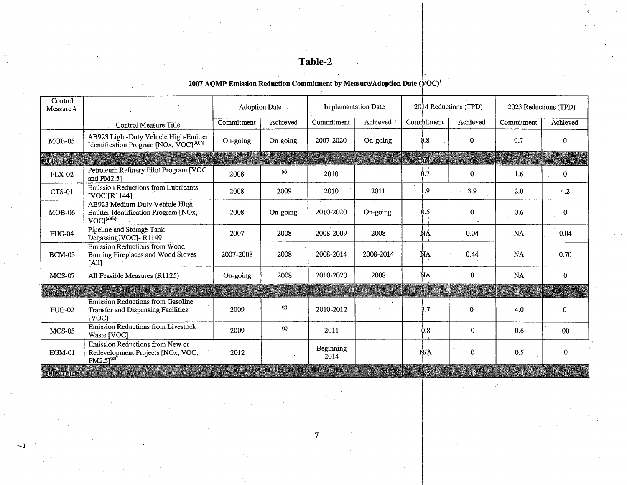## **Table-2.**

#### 2007 AQMP Emission Reduction Commitment by Measure/Adoption Date  $(\sqrt{VOC})^1$  $\overline{\phantom{a}}$

| Control<br>Measure #    |                                                                                                  | <b>Adoption Date</b> |             | <b>Implementation Date</b> |            | 2014 Reductions (TPD) |              | 2023 Reductions (TPD) |              |
|-------------------------|--------------------------------------------------------------------------------------------------|----------------------|-------------|----------------------------|------------|-----------------------|--------------|-----------------------|--------------|
|                         | Control Measure Title                                                                            | Commitment           | Achieved    | Commitment                 | Achieved   | Commitment            | Achieved     | Commitment            | Achieved     |
| $MOB-05$                | AB923 Light-Duty Vehicle High-Emitter<br>Identification Program [NOx, VOC] <sup>(a)(b)</sup>     | On-going             | $On$ -going | 2007-2020                  | $On-going$ | 0.8                   | $\mathbf{0}$ | 0.7                   | $\Omega$     |
| 2007 Total              |                                                                                                  |                      |             |                            |            | :08                   |              | 0.7                   | 10.          |
| <b>FLX-02</b>           | Petroleum Refinery Pilot Program [VOC<br>and PM2.51                                              | 2008                 | (a)         | 2010                       |            | 0.7                   | 0            | 1.6                   | $\Omega$     |
| CTS-01                  | Emission Reductions from Lubricants<br>[VOCI[R1144]                                              | 2008                 | 2009        | 2010                       | 2011       | .9                    | 3.9          | 2.0                   | 4.2          |
| $MOB-06$                | AB923 Medium-Duty Vehicle High-<br>Emitter Identification Program [NOx,<br>VOC <sup>(a)(b)</sup> | 2008                 | $On$ -going | 2010-2020                  | On-going   | 0.5                   | 0            | 0.6                   | $\bf{0}$     |
| <b>FUG-04</b>           | Pipeline and Storage Tank<br>Degassing [VOC]-R1149                                               | 2007                 | 2008        | 2008-2009                  | 2008       | ŇA                    | 0.04         | NÁ                    | 0.04         |
| BCM-03                  | Emission Reductions from Wood<br>Burning Fireplaces and Wood Stoves<br>[All]                     | 2007-2008            | 2008        | 2008-2014                  | 2008-2014  | ŇA                    | 0.44         | <b>NA</b>             | 0.70         |
| <b>MCS-07</b>           | All Feasible Measures (R1125)                                                                    | $On$ -going          | 2008        | 2010-2020                  | 2008       | ŃA                    | $\Omega$     | <b>NA</b>             | $\mathbf{0}$ |
| 2008 Total              |                                                                                                  |                      |             |                            |            |                       |              |                       | 46.          |
| <b>FUG-02</b>           | Emission Reductions from Gasoline<br>Transfer and Dispensing Facilities<br>[VÒC]                 | 2009                 | (c)         | 2010-2012                  |            | 3.7                   | $\mathbf{0}$ | 4.0                   | $\mathbf{0}$ |
| $MCS-05$                | Emission Reductions from Livestock<br>Waste [VOC]                                                | 2009                 | (a)         | 2011                       |            | 0.8                   | $\mathbf{0}$ | 0.6                   | $00\,$       |
| $EGM-01$                | Emission Reductions from New or<br>Redevelopment Projects [NOx, VOC,<br>$PM2.5$ <sup>(d)</sup>   | 2012                 |             | <b>Beginning</b><br>2014   |            | N/A                   | $0$ .        | 0.5                   | $\Omega$     |
| $-2000$ Total $\bar{z}$ |                                                                                                  |                      |             |                            |            |                       | េះ ពណ        | ans land              |              |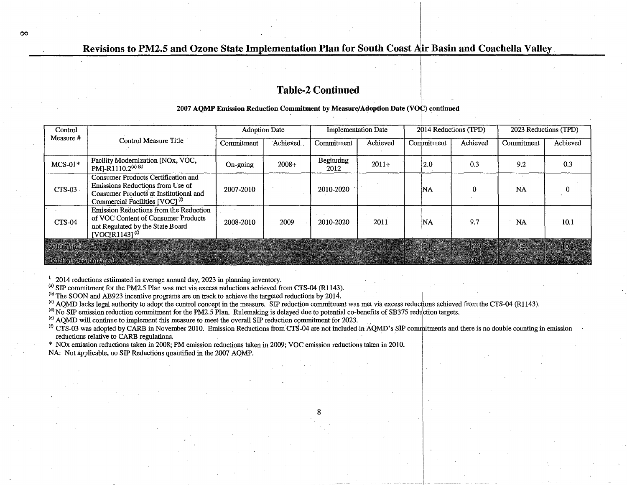#### **Table-2 Continued**

#### 2007 AOMP Emission Reduction Commitment by Measure/Adoption Date (VOC) continued

| Control<br>Measure #                     | Control Measure Title                                                                                                                                           | <b>Adoption Date</b> |          | <b>Implementation Date</b> |          | 2014 Reductions (TPD) |          | 2023 Reductions (TPD) |          |
|------------------------------------------|-----------------------------------------------------------------------------------------------------------------------------------------------------------------|----------------------|----------|----------------------------|----------|-----------------------|----------|-----------------------|----------|
|                                          |                                                                                                                                                                 | Commitment           | Achieved | Commitment                 | Achieved | Commitment            | Achieved | Commitment            | Achieved |
| $MCS-01*$                                | Facility Modernization [NOx, VOC,<br>$PM$ ]-R1110.2 <sup>(a) (e)</sup>                                                                                          | On-going             | $2008+$  | Beginning<br>2012          | $2011+$  | 2.0                   | 0.3      | 9.2                   | 0.3      |
| $CTS-03$                                 | Consumer Products Certification and<br>Emissions Reductions from Use of<br>Consumer Products at Institutional and<br>Commercial Facilities [VOC] <sup>(t)</sup> | 2007-2010            |          | 2010-2020                  |          | ΝA                    | 0        | <b>NA</b>             |          |
| $CTS-04$                                 | Emission Reductions from the Reduction<br>of VOC Content of Consumer Products<br>not Regulated by the State Board<br>$[VOCIR1143]^{(f)}$                        | 2008-2010            | 2009     | 2010-2020                  | 2011     | ΙNΑ                   | 9.7      | NA                    | 10.1     |
| 2010 Total<br><b>Tour SPACTURING COL</b> |                                                                                                                                                                 |                      |          |                            |          |                       |          |                       |          |

<sup>1</sup> 2014 reductions estiimated in average annual day, 2023 in planning inventory.

 $\infty$ 

(a) SIP commitment for the PM2.5 Plan was met via excess reductions achieved from CTS-04 (R1143).

<sup>(b)</sup> The SOON and AB923 incentive programs are on track to achieve the targeted reductions by 2014.

<sup>(c)</sup> AQMD lacks legal authority to adopt the control concept in the measure. SIP reduction commitment was met via excess reductions achieved from the CTS-04 (R1143).

 $^{(d)}$  No SIP emission reduction commitment for the PM2.5 Plan. Rulemaking is delayed due to potential co-benefits of SB375 reduction targets.

(e) AQMD will continue to implement this measure to meet the overall SIP reduction commitment for 2023.

<sup>(f)</sup> CTS-03 was adopted by CARB in November 2010. Emission Reductions from CTS-04 are not included in AQMD's SIP commitments and there is no double counting in emission reductions relative to CARB regulations.

\* NOx emission reductions taken in 2008; PM emission reductions taken in 2009; VOC emission reductions taken in 2010.

NA: Not applicable, no SIP Reductions quantified in the 2007 AQMP.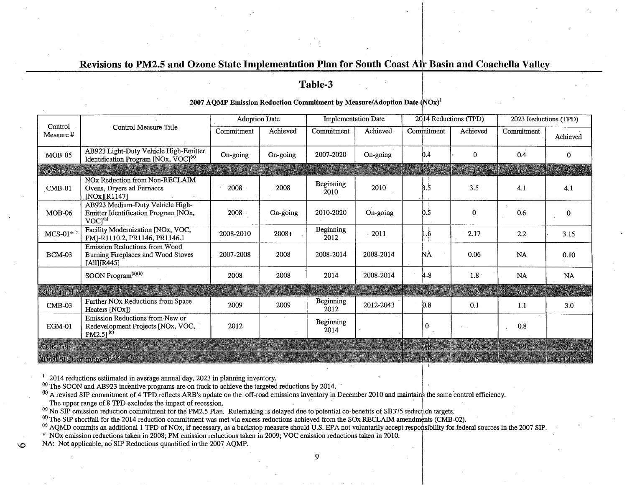#### Table-3

#### 2007 AQMP Emission Reduction Commitment by Measure/Adoption Date  $(NOx)^1$

|                                              | Control Measure Title                                                                            | <b>Adoption Date</b> |          | <b>Implementation Date</b> |           | 2014 Reductions (TPD) |              | 2023 Reductions (TPD) |                |
|----------------------------------------------|--------------------------------------------------------------------------------------------------|----------------------|----------|----------------------------|-----------|-----------------------|--------------|-----------------------|----------------|
| Control<br>Measure#                          |                                                                                                  | Commitment           | Achieved | Commitment                 | Achieved  | Commitment            | Achieved     | Commitment            | Achieved       |
| $MOB-05$                                     | AB923 Light-Duty Vehicle High-Emitter<br>Identification Program [NOx, VOC] <sup>(a)</sup>        | On-going             | On-going | 2007-2020                  | On-going  | 0.4                   | $\Omega$     | 0.4                   | $\bf{0}$       |
| 2007 Total                                   |                                                                                                  |                      |          |                            |           |                       | - 93         | <b>DAL</b>            |                |
| $CMB-01$                                     | NOx Reduction from Non-RECLAIM<br>Ovens, Dryers ad Furnaces<br>[ $NOx$ ][ $R1147$ ]              | 2008                 | 2008     | Beginning<br>2010          | 2010      | 3.5                   | 3.5          | 4.1                   | 4.1            |
| $MOB-06$                                     | AB923 Medium-Duty Vehicle High-<br>Emitter Identification Program [NOx,<br>VOC <sup>(a)</sup>    | 2008                 | On-going | 2010-2020                  | On-going  | 0.5                   | $\Omega$     | 0.6                   | $\bf{0}$       |
| $MCS-01*$                                    | Facility Modernization [NOx, VOC,<br>PMJ-R1110.2, PR1146, PR1146.1                               | 2008-2010            | $2008+$  | Beginning<br>2012          | 2011      | . 6                   | 2.17         | 2.2                   | 3.15           |
| <b>BCM-03</b>                                | Emission Reductions from Wood<br>Burning Fireplaces and Wood Stoves<br>[All][R445]               | 2007-2008            | 2008     | 2008-2014                  | 2008-2014 | NÀ                    | 0.06         | <b>NA</b>             | 0.10           |
|                                              | SOON Program <sup>(a)(b)</sup>                                                                   | 2008                 | 2008     | 2014                       | 2008-2014 | $4 - 8$               | 1.8          | <b>NA</b>             | NA             |
| 2008 Total                                   |                                                                                                  |                      |          |                            |           |                       |              | 76 Y                  | a kaca         |
| $CMB-03$                                     | Further NOx Reductions from Space<br>Heaters [NOx])                                              | 2009                 | 2009     | <b>Beginning</b><br>2012   | 2012-2043 | 0.8                   | 0.1          | 1.1                   | 3.0            |
| $EGM-01$                                     | Emission Reductions from New or<br>Redevelopment Projects [NOx, VOC,<br>$PM2.5$ ] <sup>(c)</sup> | 2012                 |          | <b>Beginning</b><br>2014   |           | $\bf{0}$              |              | 0.8                   |                |
| $2009$ Total                                 |                                                                                                  |                      |          |                            |           | 0.8                   | 10.11        | $-1.9$                |                |
| <b>Hotal SIP Committeent<sup>(0)</sup>(9</b> |                                                                                                  |                      |          |                            |           |                       | <b>STAGS</b> | <b>JUSTIN</b>         | di Baratti (18 |

 $1$  2014 reductions estiimated in average annual day, 2023 in planning inventory.

(a) The SOON and AB923 incentive programs are on track to achieve the targeted reductions by 2014.

<sup>(b)</sup> A revised SIP commitment of 4 TPD reflects ARB's update on the off-road emissions inventory in December 2010 and maintains the same control efficiency.

The upper range of 8 TPD excludes the impact of recession.

 $\circ$ 

<sup>(c)</sup> No SIP emission reduction commitment for the PM2.5 Plan. Rulemaking is delayed due to potential co-benefits of SB375 reduction targets.

(d) The SIP shortfall for the 2014 reduction commitment was met via excess reductions achieved from the SOx RECLAIM amendments (CMB-02).

<sup>(e)</sup> AQMD commits an additional 1 TPD of NOx, if necessary, as a backstop measure should U.S. EPA not voluntarily accept responsibility for federal sources in the 2007 SIP

\* NOx emission reductions taken in 2008; PM emission reductions taken in 2009; VOC emission reductions taken in 2010.

NA: Not applicable, no SIP Reductions quantified in the 2007 AQMP.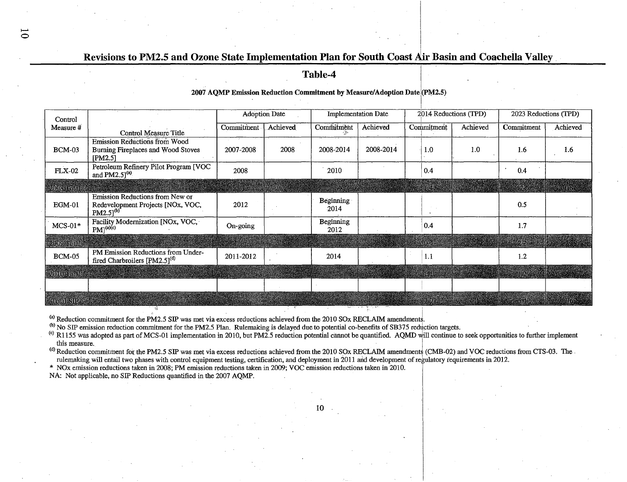**Table-4** 

**2007 AQMP Emission Reduction Commitment by Measure/ Adoption Date (PM2.5)** 

| Control             |                                                                                        | <b>Adoption Date</b> |          | <b>Implementation Date</b> |           | 2014 Reductions (TPD) |          | 2023 Reductions (TPD) |          |
|---------------------|----------------------------------------------------------------------------------------|----------------------|----------|----------------------------|-----------|-----------------------|----------|-----------------------|----------|
| Measure #           | <b>Control Measure Title</b>                                                           | Commitment           | Achieved | Commitment                 | Achieved  | <b>Commitment</b>     | Achieved | Commitment            | Achieved |
| <b>BCM-03</b>       | <b>Emission Reductions from Wood</b><br>Burning Fireplaces and Wood Stoves<br>[PM2.5]  | 2007-2008            | 2008     | 2008-2014                  | 2008-2014 | 1.0                   | 1.0      | 1.6                   | 1.6      |
| <b>FLX-02</b>       | Petroleum Refinery Pilot Program [VOC<br>and PM2.5 $1^{(a)}$                           | 2008                 |          | 2010                       |           | 0.4                   |          | 0.4                   |          |
| <b>2008 Total</b>   |                                                                                        |                      |          |                            |           |                       |          |                       |          |
| $EGM-01$            | Emission Reductions from New or<br>Redevelopment Projects [NOx, VOC,<br>$PM2.51^{(b)}$ | 2012                 |          | Beginning<br>2014          |           |                       |          | 0.5                   |          |
| $MCS-01*$           | Facility Modernization [NOx, VOC,<br>$PM(0)$ <sup>(a)(c)</sup>                         | $On-going$           |          | Beginning<br>2012          |           | 0.4                   |          | 1.7                   |          |
| 2009 Foral          |                                                                                        |                      |          |                            |           |                       |          |                       |          |
| <b>BCM-05</b>       | PM Emission Reductions from Under-<br>fired Charbroilers [PM2.5] <sup>(d)</sup>        | 2011-2012            |          | 2014                       |           | 1.1                   |          | 1.2                   |          |
| 2010 Rual           |                                                                                        |                      |          |                            |           |                       |          |                       |          |
|                     |                                                                                        |                      |          |                            |           |                       |          |                       |          |
| <u>en som med e</u> |                                                                                        |                      |          |                            |           |                       |          |                       |          |

 $^{(a)}$  Reduction commitment for the PM2.5 SIP was met via excess reductions achieved from the 2010 SOx RECLAIM amendments.

(b) No SIP emission reduction commitment for the PM2.5 Plan. Rulemaking is delayed due to potential co-benefits of SB375 reduction targets.

<sup>(c)</sup> R1155 was adopted as part of MCS-01 implementation in 2010, but PM2.5 reduction potential cannot be quantified. AQMD will continue to seek opportunities to further implement this measure.  $\blacksquare$ 

0

<sup>(d)</sup> Reduction commitment for the PM2.5 SIP was met via excess reductions achieved from the 2010 SOx RECLAIM amendments (CMB-02) and VOC reductions from CTS-03. The .

rulemaking will entail two phases with control equipment testing, certification, and deployment in 2011 and development of regulatory requirements in 2012.

\* NOx emission reductions taken in 2008; PM emission reductions taken in 2009; VOC emission reductions taken in 2010.

NA: Not applicable, no SIP Reductions quantified in the 2007 AQMP.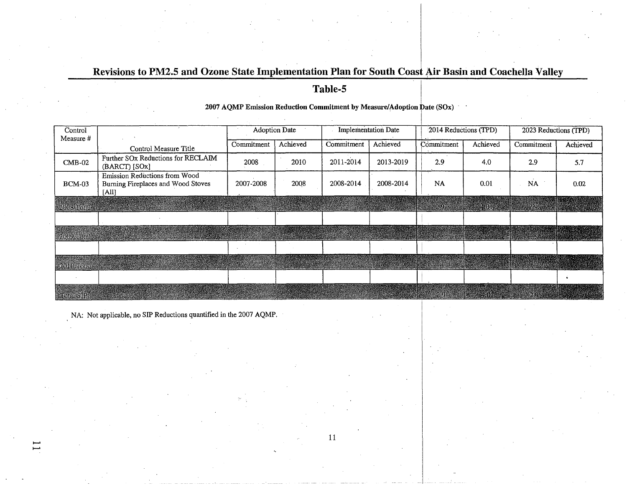# **Revisions to PM2.5 and Ozone State Implementation Plan for South Coast Air Basin and Coachella Valley <b>Table-5 in Allergie 20.1**

#### 2007 AQMP Emission Reduction Commitment by Measure/Adoption Date (SOx)  $\epsilon \rightarrow \epsilon$

| Control<br>Measure #     |                                                                              | <b>Adoption Date</b> |          | <b>Implementation Date</b> |           | 2014 Reductions (TPD) |               | 2023 Reductions (TPD) |          |
|--------------------------|------------------------------------------------------------------------------|----------------------|----------|----------------------------|-----------|-----------------------|---------------|-----------------------|----------|
|                          | Control Measure Title                                                        | Commitment           | Achieved | Commitment                 | Achieved  | Commitment            | Achieved      | Commitment            | Achieved |
| $CMB-02$                 | Further SOx Reductions for RECLAIM<br>(BARCT) [SOx]                          | 2008                 | 2010     | 2011-2014                  | 2013-2019 | 2.9                   | 4.0           | 2.9                   | 5.7      |
| $BCM-03$                 | Emission Reductions from Wood<br>Burning Fireplaces and Wood Stoves<br>[All] | 2007-2008            | 2008     | 2008-2014                  | 2008-2014 | <b>NA</b>             | 0.01          | <b>NA</b>             | 0.02     |
| $-2008$ Total $\alpha$ . |                                                                              |                      |          |                            |           |                       |               |                       |          |
|                          |                                                                              |                      |          |                            |           |                       |               |                       |          |
| 2009 Total               |                                                                              |                      |          |                            |           |                       |               |                       |          |
|                          |                                                                              |                      |          |                            |           |                       |               |                       |          |
| 1-2010 Total 12 12 13 13 |                                                                              |                      |          |                            |           |                       |               |                       |          |
|                          |                                                                              |                      |          |                            |           |                       |               |                       |          |
| <b>Emandella</b>         |                                                                              |                      |          |                            |           |                       | e e dans e so |                       |          |

NA: Not applicable, no SIP Reductions quantified in the 2007 AQMP.

 $\overline{\phantom{a}}$  . The contract of the contract of the contract of the contract of the contract of the contract of the contract of the contract of the contract of the contract of the contract of the contract of the contract of

........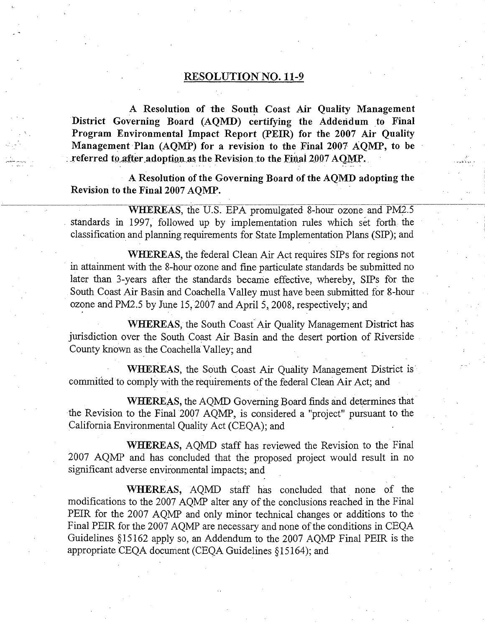#### RESOLUTION NO. 11-9

A Resolution of the South Coast Air Quality Management District Governing Board (AQMD) certifying the Addendum to Final **Program Environmental Impact Report (PEIR) for the 2007 Air Quality**  Management Plan (AQMP) for a revision to the Final 2007 AQMP, to be *xeferred to after adoption as the Revision to the Final 2007 AQMP.* 

**A Resolution of the Governing Board of the AQMD adopting the Revision to the Final 2007 AQMP.** 

**WHEREAS,** the U.S. EPA promulgated 8-hour ozone and PM2.5 standards in 1997, followed up by implementation rules which set forth the classification and planning requirements for State Implementation Plans (SIP); and

**WHEREAS,** the federal Clean Air Act requires SIPs for regions not in attainment with the 8-hour ozone and fine particulate standards be submitted no later than 3-years after the standards became effective, whereby, SIPs for the South Coast Air Basin and Coachella Valley must have been submitted for 8-hour ozone and PM2.5 by June  $15, 2007$  and April 5, 2008, respectively; and

**WHEREAS,** the South Coast" Air Quality Management District bas jurisdiction over the South Coast Air Basin and the desert portion of Riverside County known as the Coachella Valley; and

**WHEREAS,** the South Coast Air Quality Management District is· committed to comply with the requirements of the federal Clean Air Act; and

. .

**WHEREAS,** the AQMD Governing Board finds and determines that· the Revision to the Final 2007 AQMP, is considered a "project" pursuant to the California Environmental Quality Act (CEQA); and

**WHEREAS,** AQMD staff has reviewed the Revision to the Final 2007 AQMP and has concluded that the proposed project would result in no significant adverse environmental impacts; and

**WHEREAS,** AQMD staff has concluded that. none of the modifications to the 2007 AQMP alter any of the conclusions reached in the Final PEIR for the 2007 AQMP and only minor technical changes or additions to the Final PEIR for the 2007 AQMP are necessary and none of the conditions in CEQA Guidelines §15162 apply so, an Addendum to the 2007 AQMP Final PEIR is the appropriate CEQA document (CEQA Guidelines §15164); and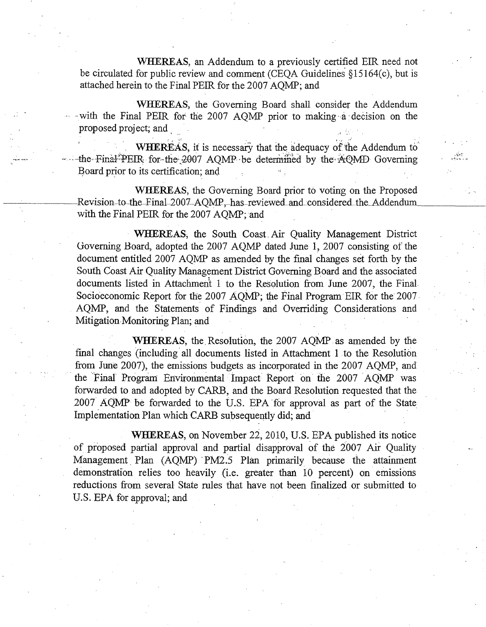WHEREAS, an Addendum to a previously certified EIR need not be circulated for public review and comment (CEQA Guidelines §15164(c), but is attached herein to the Final PEIR for the 2007 AQMP; and

WHEREAS, the Governing Board shall consider the Addendum with the Final PEIR for the 2007 AQMP prior to making a decision on the proposed project; and

WHEREAS, it is necessary that the adequacy of the Addendum to the Final PEIR for the 2007 AQMP be determined by the AQMD Governing Board prior to its certification; and

WHEREAS, the Governing Board prior to voting on the Proposed Revision to the Final 2007 AOMP, has reviewed and considered the Addendum with the Final PEIR for the 2007 AQMP; and

WHEREAS, the South Coast Air Quality Management District Governing Board, adopted the 2007 AQMP dated June 1, 2007 consisting of the document entitled 2007 AOMP as amended by the final changes set forth by the South Coast Air Quality Management District Governing Board and the associated documents listed in Attachment 1 to the Resolution from June 2007, the Final Socioeconomic Report for the 2007 AQMP; the Final Program EIR for the 2007 AQMP, and the Statements of Findings and Overriding Considerations and Mitigation Monitoring Plan; and

WHEREAS, the Resolution, the 2007 AQMP as amended by the final changes (including all documents listed in Attachment 1 to the Resolution from June 2007), the emissions budgets as incorporated in the 2007 AQMP, and the Final Program Environmental Impact Report on the 2007 AQMP was forwarded to and adopted by CARB, and the Board Resolution requested that the 2007 AQMP be forwarded to the U.S. EPA for approval as part of the State Implementation Plan which CARB subsequently did; and

WHEREAS, on November 22, 2010, U.S. EPA published its notice of proposed partial approval and partial disapproval of the 2007 Air Quality Management Plan (AQMP) PM2.5 Plan primarily because the attainment demonstration relies too heavily (i.e. greater than 10 percent) on emissions reductions from several State rules that have not been finalized or submitted to U.S. EPA for approval; and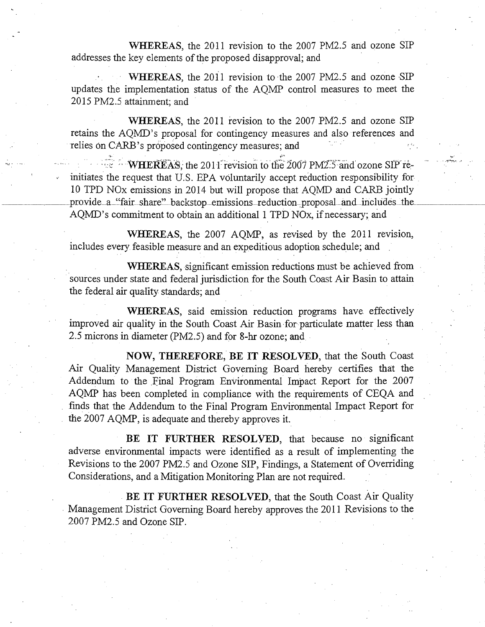WHEREAS, the 2011 revision to the 2007 PM2.5 and ozone SIP addresses the key elements of the proposed disapproval; and

WHEREAS, the 2011 revision to the 2007 PM2.5 and ozone SIP updates the implementation status of the AQMP control measures to meet the 2015 PM2.5 attainment; and

WHEREAS, the 2011 revision to the 2007 PM2.5 and ozone SIP retains the AQMD's proposal for contingency measures and also references and relies on CARB's proposed contingency measures; and

**WHEREAS**, the 2011 revision to the 2007 PM2.5 and ozone SIP reinitiates the request that U.S. EPA voluntarily accept reduction responsibility for 10 TPD NOx emissions in 2014 but will propose that AQMD and CARB jointly provide a "fair share" backstop emissions reduction proposal and includes the AQMD's commitment to obtain an additional 1 TPD NOx, if necessary; and

WHEREAS, the 2007 AQMP, as revised by the 2011 revision, includes every feasible measure and an expeditious adoption schedule; and

WHEREAS, significant emission reductions must be achieved from sources under state and federal jurisdiction for the South Coast Air Basin to attain the federal air quality standards; and

WHEREAS, said emission reduction programs have effectively improved air quality in the South Coast Air Basin for particulate matter less than 2.5 microns in diameter (PM2.5) and for 8-hr ozone; and

NOW, THEREFORE, BE IT RESOLVED, that the South Coast Air Quality Management District Governing Board hereby certifies that the Addendum to the Final Program Environmental Impact Report for the 2007 AQMP has been completed in compliance with the requirements of CEQA and finds that the Addendum to the Final Program Environmental Impact Report for the 2007 AQMP, is adequate and thereby approves it.

BE IT FURTHER RESOLVED, that because no significant adverse environmental impacts were identified as a result of implementing the Revisions to the 2007 PM2.5 and Ozone SIP, Findings, a Statement of Overriding Considerations, and a Mitigation Monitoring Plan are not required.

BE IT FURTHER RESOLVED, that the South Coast Air Quality Management District Governing Board hereby approves the 2011 Revisions to the 2007 PM2.5 and Ozone SIP.